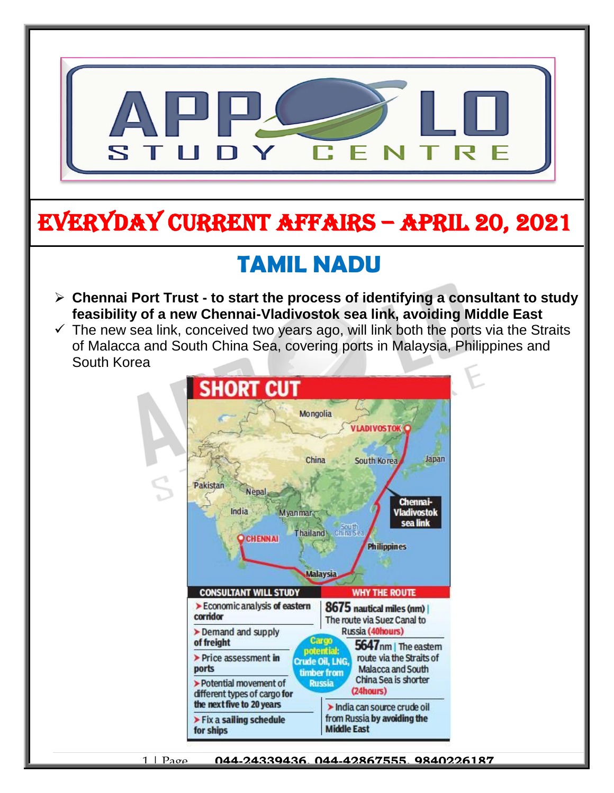

# EVERYDAY CURRENT AFFAIRS – APRIL 20, 2021

## **TAMIL NADU**

- **Chennai Port Trust - to start the process of identifying a consultant to study feasibility of a new Chennai-Vladivostok sea link, avoiding Middle East**  $\overline{a}$
- $\checkmark$  The new sea link, conceived two years ago, will link both the ports via the Straits of Malacca and South China Sea, covering ports in Malaysia, Philippines and South Korea



-

1 | Page **044-24339436, 044-42867555, 9840226187**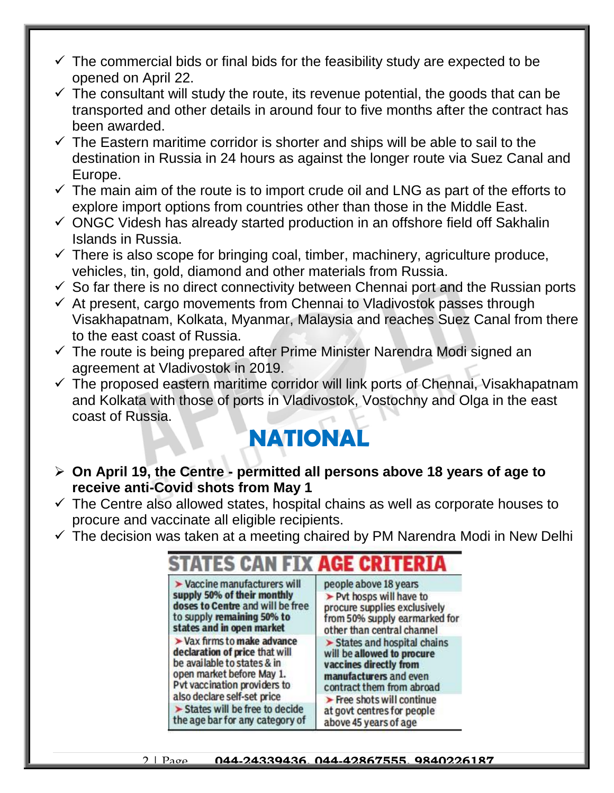- $\checkmark$  The commercial bids or final bids for the feasibility study are expected to be opened on April 22.
- $\checkmark$  The consultant will study the route, its revenue potential, the goods that can be transported and other details in around four to five months after the contract has been awarded.
- $\checkmark$  The Eastern maritime corridor is shorter and ships will be able to sail to the destination in Russia in 24 hours as against the longer route via Suez Canal and Europe.
- $\checkmark$  The main aim of the route is to import crude oil and LNG as part of the efforts to explore import options from countries other than those in the Middle East.
- $\checkmark$  ONGC Videsh has already started production in an offshore field off Sakhalin Islands in Russia.
- $\checkmark$  There is also scope for bringing coal, timber, machinery, agriculture produce, vehicles, tin, gold, diamond and other materials from Russia.
- $\checkmark$  So far there is no direct connectivity between Chennai port and the Russian ports
- $\checkmark$  At present, cargo movements from Chennai to Vladivostok passes through Visakhapatnam, Kolkata, Myanmar, Malaysia and reaches Suez Canal from there to the east coast of Russia.
- $\checkmark$  The route is being prepared after Prime Minister Narendra Modi signed an agreement at Vladivostok in 2019.
- $\checkmark$  The proposed eastern maritime corridor will link ports of Chennai, Visakhapatnam and Kolkata with those of ports in Vladivostok, Vostochny and Olga in the east coast of Russia.

### **NATIONAL**

- **On April 19, the Centre - permitted all persons above 18 years of age to receive anti-Covid shots from May 1**
- $\checkmark$  The Centre also allowed states, hospital chains as well as corporate houses to procure and vaccinate all eligible recipients.
- $\checkmark$  The decision was taken at a meeting chaired by PM Narendra Modi in New Delhi

| STATES CAN FIX <b>age criteri</b>                |                                           |
|--------------------------------------------------|-------------------------------------------|
| $\blacktriangleright$ Vaccine manufacturers will | people above 18 years                     |
| supply 50% of their monthly                      | > Pvt hosps will have to                  |
| doses to Centre and will be free                 | procure supplies exclusively              |
| to supply remaining 50% to                       | from 50% supply earmarked fo              |
| states and in open market                        | other than central channel                |
| $\blacktriangleright$ Vax firms to make advance  | > States and hospital chains              |
| declaration of price that will                   | will be allowed to procure                |
| be available to states & in                      | vaccines directly from                    |
| open market before May 1.                        | manufacturers and even                    |
| Pvt vaccination providers to                     | contract them from abroad                 |
| also declare self-set price                      | $\triangleright$ Free shots will continue |
| > States will be free to decide                  | at govt centres for people                |
| the age bar for any category of                  | above 45 years of age                     |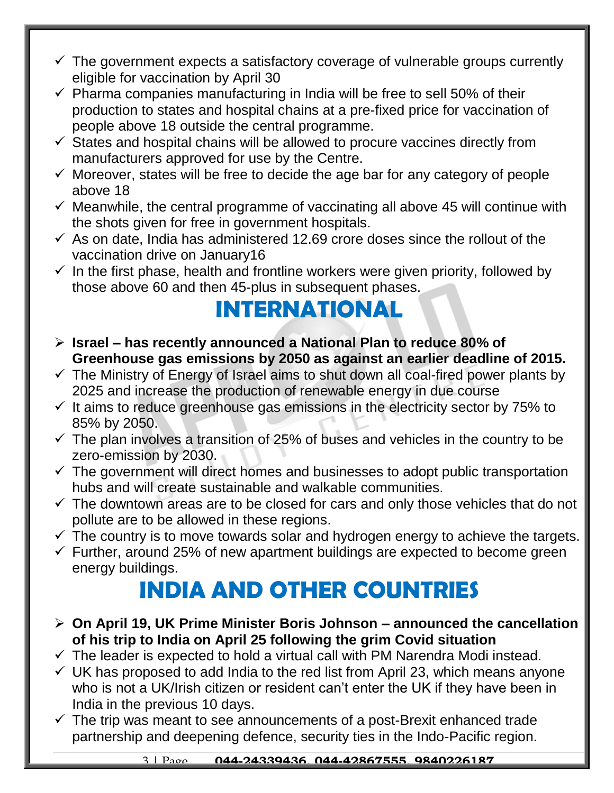- $\checkmark$  The government expects a satisfactory coverage of vulnerable groups currently eligible for vaccination by April 30
- $\checkmark$  Pharma companies manufacturing in India will be free to sell 50% of their production to states and hospital chains at a pre-fixed price for vaccination of people above 18 outside the central programme.
- $\checkmark$  States and hospital chains will be allowed to procure vaccines directly from manufacturers approved for use by the Centre.
- $\checkmark$  Moreover, states will be free to decide the age bar for any category of people above 18
- $\checkmark$  Meanwhile, the central programme of vaccinating all above 45 will continue with the shots given for free in government hospitals.
- $\checkmark$  As on date, India has administered 12.69 crore doses since the rollout of the vaccination drive on January16
- $\checkmark$  In the first phase, health and frontline workers were given priority, followed by those above 60 and then 45-plus in subsequent phases.

#### **INTERNATIONAL**

- **Israel – has recently announced a National Plan to reduce 80% of Greenhouse gas emissions by 2050 as against an earlier deadline of 2015.**
- $\checkmark$  The Ministry of Energy of Israel aims to shut down all coal-fired power plants by 2025 and increase the production of renewable energy in due course
- $\checkmark$  It aims to reduce greenhouse gas emissions in the electricity sector by 75% to 85% by 2050.
- $\checkmark$  The plan involves a transition of 25% of buses and vehicles in the country to be zero-emission by 2030.
- $\checkmark$  The government will direct homes and businesses to adopt public transportation hubs and will create sustainable and walkable communities.
- $\checkmark$  The downtown areas are to be closed for cars and only those vehicles that do not pollute are to be allowed in these regions.
- $\checkmark$  The country is to move towards solar and hydrogen energy to achieve the targets.
- $\checkmark$  Further, around 25% of new apartment buildings are expected to become green energy buildings.

### **INDIA AND OTHER COUNTRIES**

- **On April 19, UK Prime Minister Boris Johnson – announced the cancellation of his trip to India on April 25 following the grim Covid situation**
- $\checkmark$  The leader is expected to hold a virtual call with PM Narendra Modi instead.
- $\checkmark$  UK has proposed to add India to the red list from April 23, which means anyone who is not a UK/Irish citizen or resident can't enter the UK if they have been in India in the previous 10 days.
- $\checkmark$  The trip was meant to see announcements of a post-Brexit enhanced trade partnership and deepening defence, security ties in the Indo-Pacific region.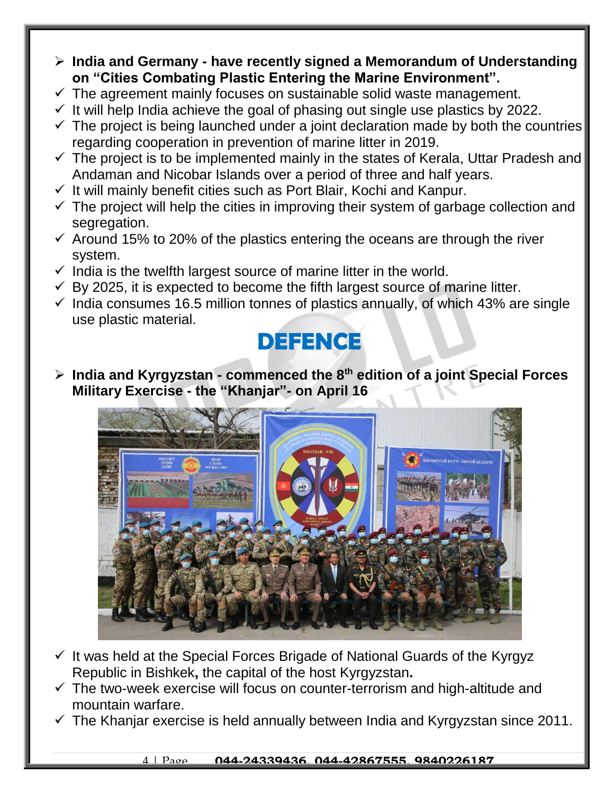- **India and Germany - have recently signed a Memorandum of Understanding on "Cities Combating Plastic Entering the Marine Environment".**
- $\checkmark$  The agreement mainly focuses on sustainable solid waste management.
- $\checkmark$  It will help India achieve the goal of phasing out single use plastics by 2022.
- $\checkmark$  The project is being launched under a joint declaration made by both the countries regarding cooperation in prevention of marine litter in 2019.
- $\checkmark$  The project is to be implemented mainly in the states of Kerala, Uttar Pradesh and Andaman and Nicobar Islands over a period of three and half years.
- $\checkmark$  It will mainly benefit cities such as Port Blair, Kochi and Kanpur.
- $\checkmark$  The project will help the cities in improving their system of garbage collection and segregation.
- $\checkmark$  Around 15% to 20% of the plastics entering the oceans are through the river system.
- $\checkmark$  India is the twelfth largest source of marine litter in the world.
- $\checkmark$  By 2025, it is expected to become the fifth largest source of marine litter.
- $\checkmark$  India consumes 16.5 million tonnes of plastics annually, of which 43% are single use plastic material.

#### **DEFENCE**

 **India and Kyrgyzstan - commenced the 8th edition of a joint Special Forces Military Exercise - the "Khanjar"- on April 16**



- $\checkmark$  It was held at the Special Forces Brigade of National Guards of the Kyrgyz Republic in Bishkek**,** the capital of the host Kyrgyzstan**.**
- $\checkmark$  The two-week exercise will focus on counter-terrorism and high-altitude and mountain warfare.
- $\checkmark$  The Khanjar exercise is held annually between India and Kyrgyzstan since 2011.